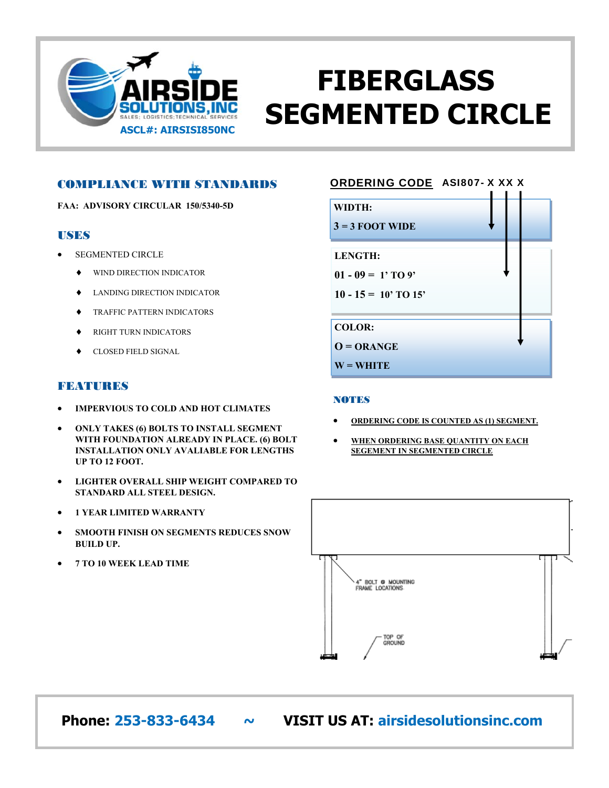

# **FIBERGLASS SEGMENTED CIRCLE**

### COMPLIANCE WITH STANDARDS

**FAA: ADVISORY CIRCULAR 150/5340-5D** 

### **USES**

- SEGMENTED CIRCLE
	- $\blacklozenge$  WIND DIRECTION INDICATOR
	- $\blacklozenge$  LANDING DIRECTION INDICATOR
	- **TRAFFIC PATTERN INDICATORS**
	- $\blacklozenge$  RIGHT TURN INDICATORS
	- CLOSED FIELD SIGNAL

## **FEBATURES**

- **IMPERVIOUS TO COLD AND HOT CLIMATES**
- **ONLY TAKES (6) BOLTS TO INSTALL SEGMENT WITH FOUNDATION ALREADY IN PLACE. (6) BOLT INSTALLATION ONLY AVALIABLE FOR LENGTHS UP TO 12 FOOT.**
- **LIGHTER OVERALL SHIP WEIGHT COMPARED TO STANDARD ALL STEEL DESIGN.**
- **1 YEAR LIMITED WARRANTY**
- **SMOOTH FINISH ON SEGMENTS REDUCES SNOW BUILD UP.**
- **7 TO 10 WEEK LEAD TIME**

# ORDERING CODE ASI807- X XX X

| WIDTH:                 |  |
|------------------------|--|
| $3 = 3$ FOOT WIDE      |  |
| <b>LENGTH:</b>         |  |
| $01 - 09 = 1'$ TO 9'   |  |
| $10 - 15 = 10'$ TO 15' |  |
| <b>COLOR:</b>          |  |
| $O = ORANGE$           |  |
| $W = WHITE$            |  |

#### **NOTES**

- **ORDERING CODE IS COUNTED AS (1) SEGMENT.**
- **WHEN ORDERING BASE QUANTITY ON EACH SEGEMENT IN SEGMENTED CIRCLE**



 **Phone: 253-833-6434 ~ VISIT US AT: airsidesolutionsinc.com**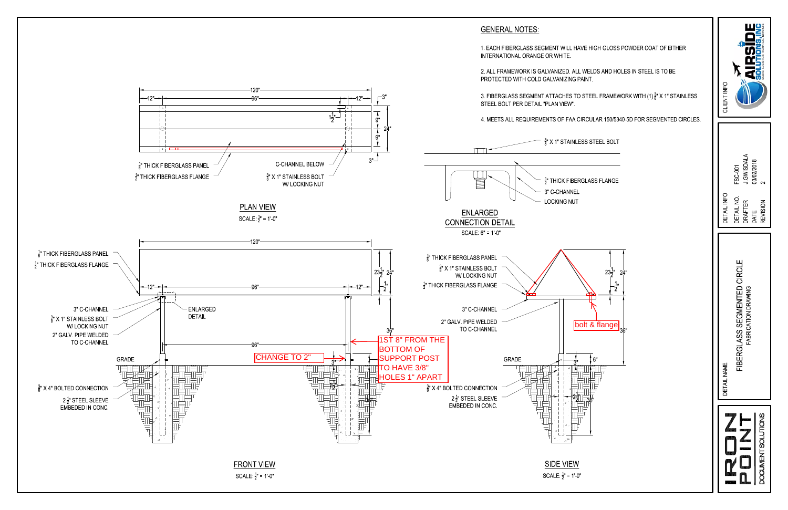# **GENERAL NOTES:**

1. EACH FIBERGLASS SEGMENT WILL HAVE HIGH GLOSS POWDER COAT OF EITHER INTERNATIONAL ORANGE OR WHITE.

2. ALL FRAMEWORK IS GALVANIZED. ALL WELDS AND HOLES IN STEEL IS TO BE PROTECTED WITH COLD GALVANIZING PAINT.

3. FIBERGLASS SEGMENT ATTACHES TO STEEL FRAMEWORK WITH (1)  $\frac{3}{8}$ " X 1" STAINLESS STEEL BOLT PER DETAIL "PLAN VIEW".

4. MEETS ALL REQUIREMENTS OF FAA CIRCULAR 150/5340-5D FOR SEGMENTED CIRCLES.



| CLIENT INFO                                                                          |                                                                                                       |  |
|--------------------------------------------------------------------------------------|-------------------------------------------------------------------------------------------------------|--|
| DETAIL INFO                                                                          | <b>ATAGSMISTER</b><br>03/02/2018<br>FSC-001<br><b>DETAIL NO</b><br><b>DRAFTER</b><br>REVISION<br>DATE |  |
| <b>MENTED CIRCLE</b><br>FABRICATION DRAWING<br>FIBERGLASS SEGN<br><b>DETAIL NAME</b> |                                                                                                       |  |
|                                                                                      | <b>DOCUMENT SOLUTIONS</b><br>$\mathbf{A}$<br><b>1779</b>                                              |  |